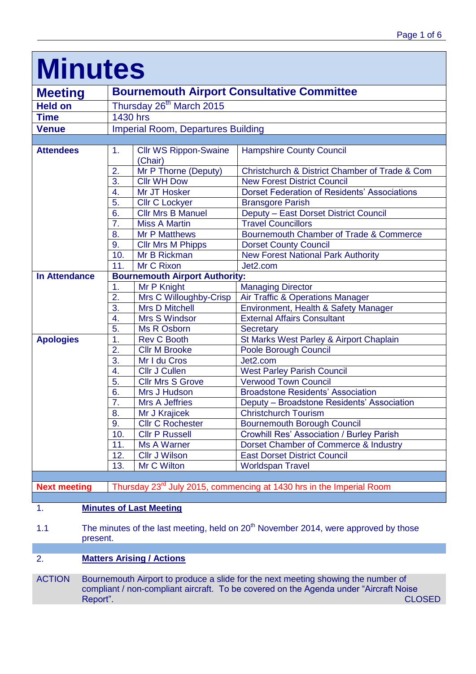| <b>Minutes</b>       |                                                                                  |                                         |                                                     |  |
|----------------------|----------------------------------------------------------------------------------|-----------------------------------------|-----------------------------------------------------|--|
| <b>Meeting</b>       | <b>Bournemouth Airport Consultative Committee</b>                                |                                         |                                                     |  |
| <b>Held on</b>       | Thursday 26 <sup>th</sup> March 2015                                             |                                         |                                                     |  |
| <b>Time</b>          | 1430 hrs                                                                         |                                         |                                                     |  |
| <b>Venue</b>         | <b>Imperial Room, Departures Building</b>                                        |                                         |                                                     |  |
|                      |                                                                                  |                                         |                                                     |  |
| <b>Attendees</b>     | 1.                                                                               | <b>Cllr WS Rippon-Swaine</b><br>(Chair) | <b>Hampshire County Council</b>                     |  |
|                      | 2.                                                                               | Mr P Thorne (Deputy)                    | Christchurch & District Chamber of Trade & Com      |  |
|                      | 3.                                                                               | <b>Cllr WH Dow</b>                      | <b>New Forest District Council</b>                  |  |
|                      | 4.                                                                               | Mr JT Hosker                            | <b>Dorset Federation of Residents' Associations</b> |  |
|                      | 5.                                                                               | <b>Cllr C Lockyer</b>                   | <b>Bransgore Parish</b>                             |  |
|                      | 6.                                                                               | <b>Cllr Mrs B Manuel</b>                | Deputy - East Dorset District Council               |  |
|                      | 7.                                                                               | <b>Miss A Martin</b>                    | <b>Travel Councillors</b>                           |  |
|                      | 8.                                                                               | <b>Mr P Matthews</b>                    | Bournemouth Chamber of Trade & Commerce             |  |
|                      | 9.                                                                               | <b>Cllr Mrs M Phipps</b>                | <b>Dorset County Council</b>                        |  |
|                      | 10.                                                                              | Mr B Rickman                            | <b>New Forest National Park Authority</b>           |  |
|                      | 11.                                                                              | Mr C Rixon                              | Jet2.com                                            |  |
| <b>In Attendance</b> | <b>Bournemouth Airport Authority:</b>                                            |                                         |                                                     |  |
|                      | 1.                                                                               | Mr P Knight                             | <b>Managing Director</b>                            |  |
|                      | 2.                                                                               | Mrs C Willoughby-Crisp                  | Air Traffic & Operations Manager                    |  |
|                      | $\overline{3}$ .                                                                 | <b>Mrs D Mitchell</b>                   | Environment, Health & Safety Manager                |  |
|                      | 4.                                                                               | Mrs S Windsor                           | <b>External Affairs Consultant</b>                  |  |
|                      | 5.                                                                               | Ms R Osborn                             | <b>Secretary</b>                                    |  |
| <b>Apologies</b>     | 1.                                                                               | <b>Rev C Booth</b>                      | St Marks West Parley & Airport Chaplain             |  |
|                      | 2.                                                                               | <b>Cllr M Brooke</b>                    | Poole Borough Council                               |  |
|                      | 3.                                                                               | Mr I du Cros                            | Jet2.com                                            |  |
|                      | 4.                                                                               | <b>Cllr J Cullen</b>                    | <b>West Parley Parish Council</b>                   |  |
|                      | 5.                                                                               | <b>Cllr Mrs S Grove</b>                 | <b>Verwood Town Council</b>                         |  |
|                      | 6.                                                                               | Mrs J Hudson                            | <b>Broadstone Residents' Association</b>            |  |
|                      | 7.                                                                               | <b>Mrs A Jeffries</b>                   | Deputy - Broadstone Residents' Association          |  |
|                      | 8.                                                                               | Mr J Krajicek                           | <b>Christchurch Tourism</b>                         |  |
|                      | 9.                                                                               | <b>Cllr C Rochester</b>                 | <b>Bournemouth Borough Council</b>                  |  |
|                      | 10.                                                                              | <b>Cllr P Russell</b>                   | <b>Crowhill Res' Association / Burley Parish</b>    |  |
|                      | 11.                                                                              | Ms A Warner                             | Dorset Chamber of Commerce & Industry               |  |
|                      | 12.                                                                              | <b>Cllr J Wilson</b>                    | <b>East Dorset District Council</b>                 |  |
|                      | 13.                                                                              | Mr C Wilton                             | <b>Worldspan Travel</b>                             |  |
|                      |                                                                                  |                                         |                                                     |  |
| <b>Next meeting</b>  | Thursday 23 <sup>rd</sup> July 2015, commencing at 1430 hrs in the Imperial Room |                                         |                                                     |  |
|                      |                                                                                  |                                         |                                                     |  |

1. **Minutes of Last Meeting**

1.1 The minutes of the last meeting, held on 20<sup>th</sup> November 2014, were approved by those present.

# 2. **Matters Arising / Actions**

ACTION Bournemouth Airport to produce a slide for the next meeting showing the number of compliant / non-compliant aircraft. To be covered on the Agenda under "Aircraft Noise Report". CLOSED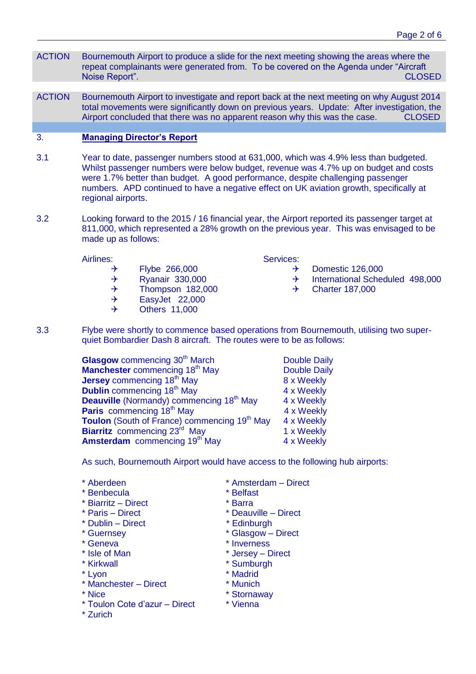- ACTION Bournemouth Airport to produce a slide for the next meeting showing the areas where the repeat complainants were generated from. To be covered on the Agenda under "Aircraft Noise Report". CLOSED
- ACTION Bournemouth Airport to investigate and report back at the next meeting on why August 2014 total movements were significantly down on previous years. Update: After investigation, the Airport concluded that there was no apparent reason why this was the case. CLOSED

## 3. **Managing Director's Report**

- 3.1 Year to date, passenger numbers stood at 631,000, which was 4.9% less than budgeted. Whilst passenger numbers were below budget, revenue was 4.7% up on budget and costs were 1.7% better than budget. A good performance, despite challenging passenger numbers. APD continued to have a negative effect on UK aviation growth, specifically at regional airports.
- 3.2 Looking forward to the 2015 / 16 financial year, the Airport reported its passenger target at 811,000, which represented a 28% growth on the previous year. This was envisaged to be made up as follows:

Airlines:

- $\rightarrow$  Flybe 266,000
- $\rightarrow$  Ryanair 330,000
- $\rightarrow$  Thompson 182,000
- $\rightarrow$  EasyJet 22,000
- $\rightarrow$  Others 11,000

Services:

- $\rightarrow$  Domestic 126,000
- $\rightarrow$  International Scheduled 498,000
- $\rightarrow$  Charter 187,000
- 3.3 Flybe were shortly to commence based operations from Bournemouth, utilising two superquiet Bombardier Dash 8 aircraft. The routes were to be as follows:
	- **Glasgow** commencing 30<sup>th</sup> March Double Daily **Manchester** commencing 18<sup>th</sup> May Double Daily **Jersey** commencing 18<sup>th</sup> May 8 x Weekly **Dublin** commencing 18<sup>th</sup> May 4 x Weekly **Deauville** (Normandy) commencing 18<sup>th</sup> May 4 x Weekly Paris commencing 18<sup>th</sup> May 4 x Weekly **Toulon** (South of France) commencing 19<sup>th</sup> May 4 x Weekly **Biarritz** commencing 23<sup>rd</sup> May 1 x Weekly **Amsterdam** commencing 19th May4 x Weekly

As such, Bournemouth Airport would have access to the following hub airports:

- 
- 
- \* Benbecula \* \* Belfast<br>\* Biarritz Direct \* \* Barra  $*$  Biarritz – Direct
- 
- \* Dublin Direct \* Edinburgh
- 
- 
- 
- 
- 
- \* Lyon \* Madrid<br>
\* Manchester Direct \* Munich \* Munich  $*$  Manchester – Direct
- 
- \* Toulon Cote d'azur Direct \* Vienna
- \* Zurich
- \* Aberdeen \* Amsterdam Direct
	-
	-
- \* Paris Direct \* Deauville Direct
	-
- \* Guernsey \* Glasgow Direct
- \* Geneva \* Inverness
- \* Isle of Man \* \* Jersey Direct
- \* Kirkwall \* Sumburgh
	-
	-
- \* Nice  $*$  Stornaway
	-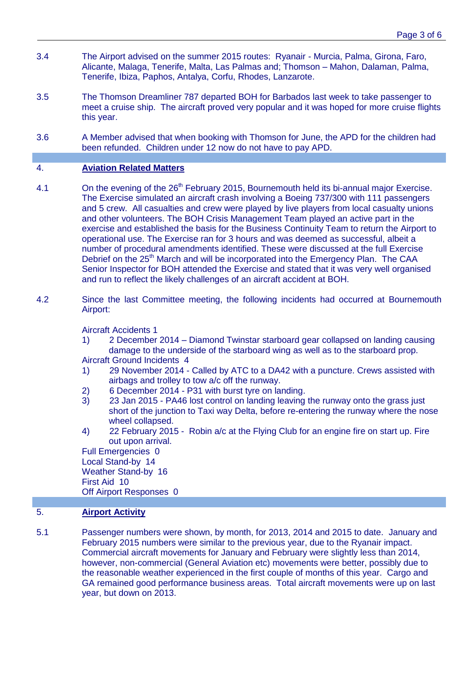- 3.4 The Airport advised on the summer 2015 routes: Ryanair Murcia, Palma, Girona, Faro, Alicante, Malaga, Tenerife, Malta, Las Palmas and; Thomson – Mahon, Dalaman, Palma, Tenerife, Ibiza, Paphos, Antalya, Corfu, Rhodes, Lanzarote.
- 3.5 The Thomson Dreamliner 787 departed BOH for Barbados last week to take passenger to meet a cruise ship. The aircraft proved very popular and it was hoped for more cruise flights this year.
- 3.6 A Member advised that when booking with Thomson for June, the APD for the children had been refunded. Children under 12 now do not have to pay APD.

## 4. **Aviation Related Matters**

- 4.1 On the evening of the  $26<sup>th</sup>$  February 2015, Bournemouth held its bi-annual major Exercise. The Exercise simulated an aircraft crash involving a Boeing 737/300 with 111 passengers and 5 crew. All casualties and crew were played by live players from local casualty unions and other volunteers. The BOH Crisis Management Team played an active part in the exercise and established the basis for the Business Continuity Team to return the Airport to operational use. The Exercise ran for 3 hours and was deemed as successful, albeit a number of procedural amendments identified. These were discussed at the full Exercise Debrief on the 25<sup>th</sup> March and will be incorporated into the Emergency Plan. The CAA Senior Inspector for BOH attended the Exercise and stated that it was very well organised and run to reflect the likely challenges of an aircraft accident at BOH.
- 4.2 Since the last Committee meeting, the following incidents had occurred at Bournemouth Airport:

Aircraft Accidents 1

- 1) 2 December 2014 Diamond Twinstar starboard gear collapsed on landing causing damage to the underside of the starboard wing as well as to the starboard prop. Aircraft Ground Incidents 4
- 1) 29 November 2014 Called by ATC to a DA42 with a puncture. Crews assisted with airbags and trolley to tow a/c off the runway.
- 2) 6 December 2014 P31 with burst tyre on landing.
- 3) 23 Jan 2015 PA46 lost control on landing leaving the runway onto the grass just short of the junction to Taxi way Delta, before re-entering the runway where the nose wheel collapsed.
- 4) 22 February 2015 Robin a/c at the Flying Club for an engine fire on start up. Fire out upon arrival.

Full Emergencies 0 Local Stand-by 14 Weather Stand-by 16 First Aid 10 Off Airport Responses 0

## 5. **Airport Activity**

5.1 Passenger numbers were shown, by month, for 2013, 2014 and 2015 to date. January and February 2015 numbers were similar to the previous year, due to the Ryanair impact. Commercial aircraft movements for January and February were slightly less than 2014, however, non-commercial (General Aviation etc) movements were better, possibly due to the reasonable weather experienced in the first couple of months of this year. Cargo and GA remained good performance business areas. Total aircraft movements were up on last year, but down on 2013.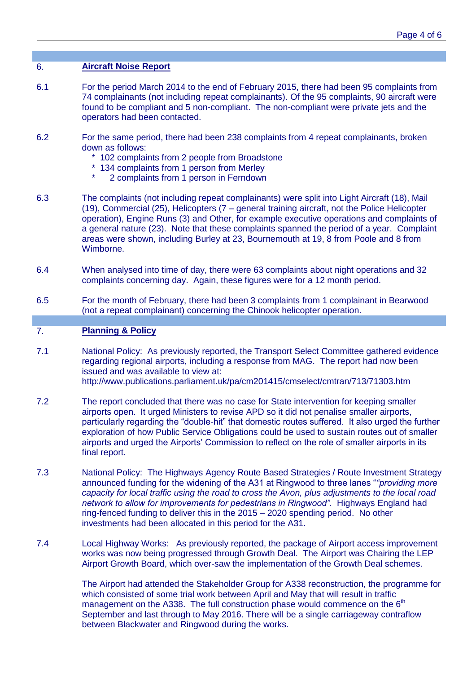## 6. **Aircraft Noise Report**

- 6.1 For the period March 2014 to the end of February 2015, there had been 95 complaints from 74 complainants (not including repeat complainants). Of the 95 complaints, 90 aircraft were found to be compliant and 5 non-compliant. The non-compliant were private jets and the operators had been contacted.
- 6.2 For the same period, there had been 238 complaints from 4 repeat complainants, broken down as follows:
	- \* 102 complaints from 2 people from Broadstone
	- \* 134 complaints from 1 person from Merley
	- \* 2 complaints from 1 person in Ferndown
- 6.3 The complaints (not including repeat complainants) were split into Light Aircraft (18), Mail (19), Commercial (25), Helicopters (7 – general training aircraft, not the Police Helicopter operation), Engine Runs (3) and Other, for example executive operations and complaints of a general nature (23). Note that these complaints spanned the period of a year. Complaint areas were shown, including Burley at 23, Bournemouth at 19, 8 from Poole and 8 from Wimborne.
- 6.4 When analysed into time of day, there were 63 complaints about night operations and 32 complaints concerning day. Again, these figures were for a 12 month period.
- 6.5 For the month of February, there had been 3 complaints from 1 complainant in Bearwood (not a repeat complainant) concerning the Chinook helicopter operation.

## 7. **Planning & Policy**

- 7.1 National Policy: As previously reported, the Transport Select Committee gathered evidence regarding regional airports, including a response from MAG. The report had now been issued and was available to view at: [http://](file:///C:/Documents%20and%20Settings/gmops/Local%20Settings/Temp/notesB275B3/http)[www.publications.parliament.uk/pa/cm201415/cmselect/cmtran/713/71303.htm](http://www.publications.parliament.uk/pa/cm201415/cmselect/cmtran/713/71303.htm)
- 7.2 The report concluded that there was no case for State intervention for keeping smaller airports open. It urged Ministers to revise APD so it did not penalise smaller airports, particularly regarding the "double-hit" that domestic routes suffered. It also urged the further exploration of how Public Service Obligations could be used to sustain routes out of smaller airports and urged the Airports' Commission to reflect on the role of smaller airports in its final report.
- 7.3 National Policy: The Highways Agency Route Based Strategies / Route Investment Strategy announced funding for the widening of the A31 at Ringwood to three lanes "*"providing more capacity for local traffic using the road to cross the Avon, plus adjustments to the local road network to allow for improvements for pedestrians in Ringwood".* Highways England had ring-fenced funding to deliver this in the 2015 – 2020 spending period. No other investments had been allocated in this period for the A31.
- 7.4 Local Highway Works: As previously reported, the package of Airport access improvement works was now being progressed through Growth Deal. The Airport was Chairing the LEP Airport Growth Board, which over-saw the implementation of the Growth Deal schemes.

The Airport had attended the Stakeholder Group for A338 reconstruction, the programme for which consisted of some trial work between April and May that will result in traffic management on the A338. The full construction phase would commence on the  $6<sup>th</sup>$ September and last through to May 2016. There will be a single carriageway contraflow between Blackwater and Ringwood during the works.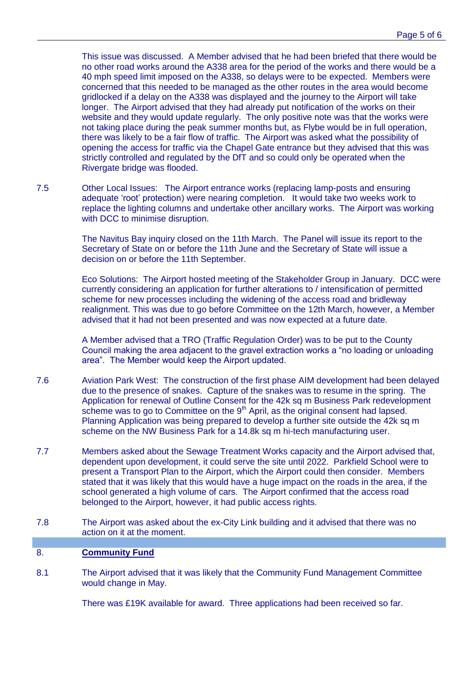This issue was discussed. A Member advised that he had been briefed that there would be no other road works around the A338 area for the period of the works and there would be a 40 mph speed limit imposed on the A338, so delays were to be expected. Members were concerned that this needed to be managed as the other routes in the area would become gridlocked if a delay on the A338 was displayed and the journey to the Airport will take longer. The Airport advised that they had already put notification of the works on their website and they would update regularly. The only positive note was that the works were not taking place during the peak summer months but, as Flybe would be in full operation, there was likely to be a fair flow of traffic. The Airport was asked what the possibility of opening the access for traffic via the Chapel Gate entrance but they advised that this was strictly controlled and regulated by the DfT and so could only be operated when the Rivergate bridge was flooded.

7.5 Other Local Issues: The Airport entrance works (replacing lamp-posts and ensuring adequate 'root' protection) were nearing completion. It would take two weeks work to replace the lighting columns and undertake other ancillary works. The Airport was working with DCC to minimise disruption.

> The Navitus Bay inquiry closed on the 11th March. The Panel will issue its report to the Secretary of State on or before the 11th June and the Secretary of State will issue a decision on or before the 11th September.

Eco Solutions: The Airport hosted meeting of the Stakeholder Group in January. DCC were currently considering an application for further alterations to / intensification of permitted scheme for new processes including the widening of the access road and bridleway realignment. This was due to go before Committee on the 12th March, however, a Member advised that it had not been presented and was now expected at a future date.

A Member advised that a TRO (Traffic Regulation Order) was to be put to the County Council making the area adjacent to the gravel extraction works a "no loading or unloading area". The Member would keep the Airport updated.

- 7.6 Aviation Park West: The construction of the first phase AIM development had been delayed due to the presence of snakes. Capture of the snakes was to resume in the spring. The Application for renewal of Outline Consent for the 42k sq m Business Park redevelopment scheme was to go to Committee on the  $9<sup>th</sup>$  April, as the original consent had lapsed. Planning Application was being prepared to develop a further site outside the 42k sq m scheme on the NW Business Park for a 14.8k sq m hi-tech manufacturing user.
- 7.7 Members asked about the Sewage Treatment Works capacity and the Airport advised that, dependent upon development, it could serve the site until 2022. Parkfield School were to present a Transport Plan to the Airport, which the Airport could then consider. Members stated that it was likely that this would have a huge impact on the roads in the area, if the school generated a high volume of cars. The Airport confirmed that the access road belonged to the Airport, however, it had public access rights.
- 7.8 The Airport was asked about the ex-City Link building and it advised that there was no action on it at the moment.

## 8. **Community Fund**

8.1 The Airport advised that it was likely that the Community Fund Management Committee would change in May.

There was £19K available for award. Three applications had been received so far.